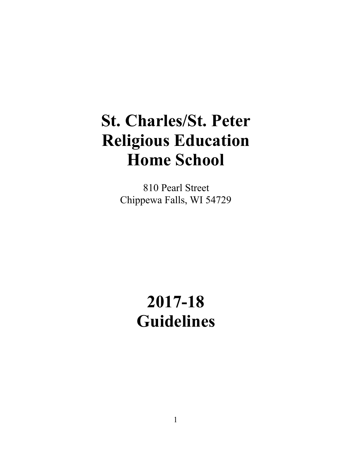# **St. Charles/St. Peter Religious Education Home School**

810 Pearl Street Chippewa Falls, WI 54729

# **2017-18 Guidelines**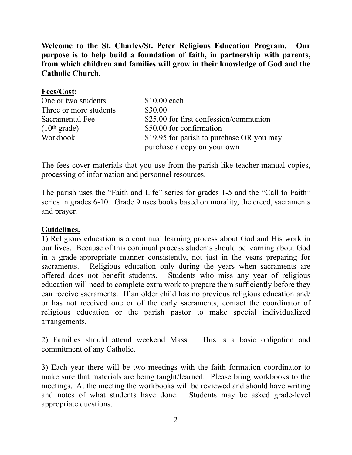**Welcome to the St. Charles/St. Peter Religious Education Program. Our purpose is to help build a foundation of faith, in partnership with parents, from which children and families will grow in their knowledge of God and the Catholic Church.** 

| <b>Fees/Cost:</b>        |                                           |
|--------------------------|-------------------------------------------|
| One or two students      | $$10.00$ each                             |
| Three or more students   | \$30.00                                   |
| Sacramental Fee          | \$25.00 for first confession/communion    |
| (10 <sup>th</sup> grade) | \$50.00 for confirmation                  |
| Workbook                 | \$19.95 for parish to purchase OR you may |
|                          | purchase a copy on your own               |

The fees cover materials that you use from the parish like teacher-manual copies, processing of information and personnel resources.

The parish uses the "Faith and Life" series for grades 1-5 and the "Call to Faith" series in grades 6-10. Grade 9 uses books based on morality, the creed, sacraments and prayer.

### **Guidelines.**

1) Religious education is a continual learning process about God and His work in our lives. Because of this continual process students should be learning about God in a grade-appropriate manner consistently, not just in the years preparing for sacraments. Religious education only during the years when sacraments are offered does not benefit students. Students who miss any year of religious education will need to complete extra work to prepare them sufficiently before they can receive sacraments. If an older child has no previous religious education and/ or has not received one or of the early sacraments, contact the coordinator of religious education or the parish pastor to make special individualized arrangements.

2) Families should attend weekend Mass. This is a basic obligation and commitment of any Catholic.

3) Each year there will be two meetings with the faith formation coordinator to make sure that materials are being taught/learned. Please bring workbooks to the meetings. At the meeting the workbooks will be reviewed and should have writing and notes of what students have done. Students may be asked grade-level appropriate questions.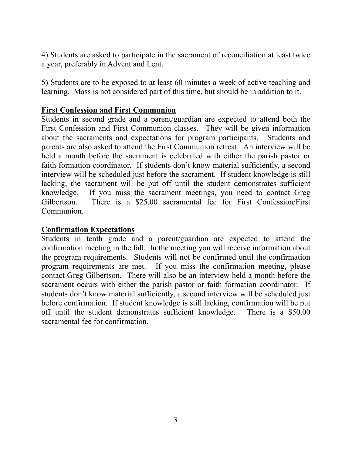4) Students are asked to participate in the sacrament of reconciliation at least twice a year, preferably in Advent and Lent.

5) Students are to be exposed to at least 60 minutes a week of active teaching and learning. Mass is not considered part of this time, but should be in addition to it.

### **First Confession and First Communion**

Students in second grade and a parent/guardian are expected to attend both the First Confession and First Communion classes. They will be given information about the sacraments and expectations for program participants. Students and parents are also asked to attend the First Communion retreat. An interview will be held a month before the sacrament is celebrated with either the parish pastor or faith formation coordinator. If students don't know material sufficiently, a second interview will be scheduled just before the sacrament. If student knowledge is still lacking, the sacrament will be put off until the student demonstrates sufficient knowledge. If you miss the sacrament meetings, you need to contact Greg Gilbertson. There is a \$25.00 sacramental fee for First Confession/First Communion.

#### **Confirmation Expectations**

Students in tenth grade and a parent/guardian are expected to attend the confirmation meeting in the fall. In the meeting you will receive information about the program requirements. Students will not be confirmed until the confirmation program requirements are met. If you miss the confirmation meeting, please contact Greg Gilbertson. There will also be an interview held a month before the sacrament occurs with either the parish pastor or faith formation coordinator. If students don't know material sufficiently, a second interview will be scheduled just before confirmation. If student knowledge is still lacking, confirmation will be put off until the student demonstrates sufficient knowledge. There is a \$50.00 sacramental fee for confirmation.